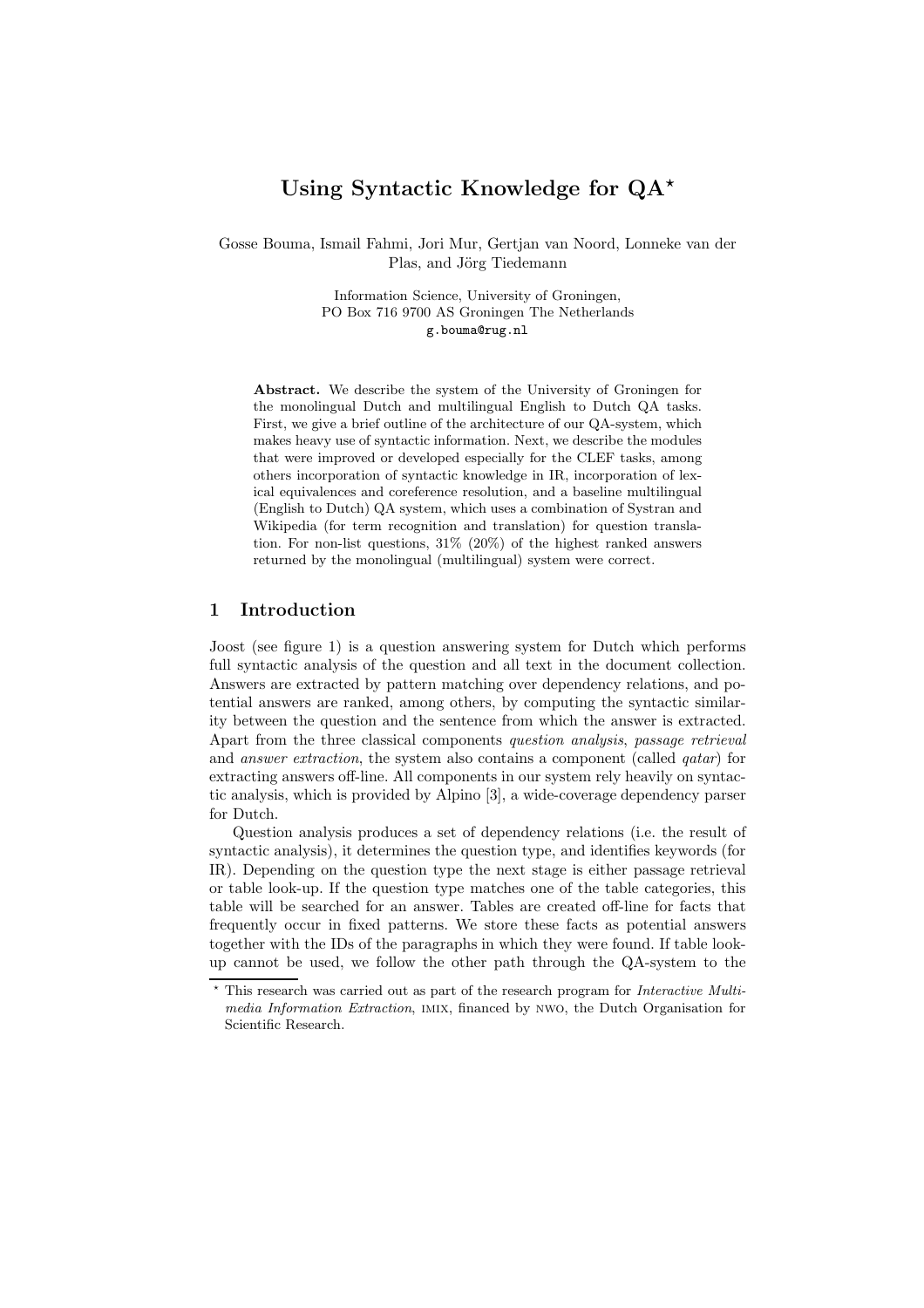# Using Syntactic Knowledge for  $QA^{\star}$

Gosse Bouma, Ismail Fahmi, Jori Mur, Gertjan van Noord, Lonneke van der Plas, and Jörg Tiedemann

> Information Science, University of Groningen, PO Box 716 9700 AS Groningen The Netherlands g.bouma@rug.nl

Abstract. We describe the system of the University of Groningen for the monolingual Dutch and multilingual English to Dutch QA tasks. First, we give a brief outline of the architecture of our QA-system, which makes heavy use of syntactic information. Next, we describe the modules that were improved or developed especially for the CLEF tasks, among others incorporation of syntactic knowledge in IR, incorporation of lexical equivalences and coreference resolution, and a baseline multilingual (English to Dutch) QA system, which uses a combination of Systran and Wikipedia (for term recognition and translation) for question translation. For non-list questions, 31% (20%) of the highest ranked answers returned by the monolingual (multilingual) system were correct.

## 1 Introduction

Joost (see figure 1) is a question answering system for Dutch which performs full syntactic analysis of the question and all text in the document collection. Answers are extracted by pattern matching over dependency relations, and potential answers are ranked, among others, by computing the syntactic similarity between the question and the sentence from which the answer is extracted. Apart from the three classical components question analysis, passage retrieval and *answer extraction*, the system also contains a component (called *gatar*) for extracting answers off-line. All components in our system rely heavily on syntactic analysis, which is provided by Alpino [3], a wide-coverage dependency parser for Dutch.

Question analysis produces a set of dependency relations (i.e. the result of syntactic analysis), it determines the question type, and identifies keywords (for IR). Depending on the question type the next stage is either passage retrieval or table look-up. If the question type matches one of the table categories, this table will be searched for an answer. Tables are created off-line for facts that frequently occur in fixed patterns. We store these facts as potential answers together with the IDs of the paragraphs in which they were found. If table lookup cannot be used, we follow the other path through the QA-system to the

<sup>?</sup> This research was carried out as part of the research program for Interactive Multimedia Information Extraction, imix, financed by nwo, the Dutch Organisation for Scientific Research.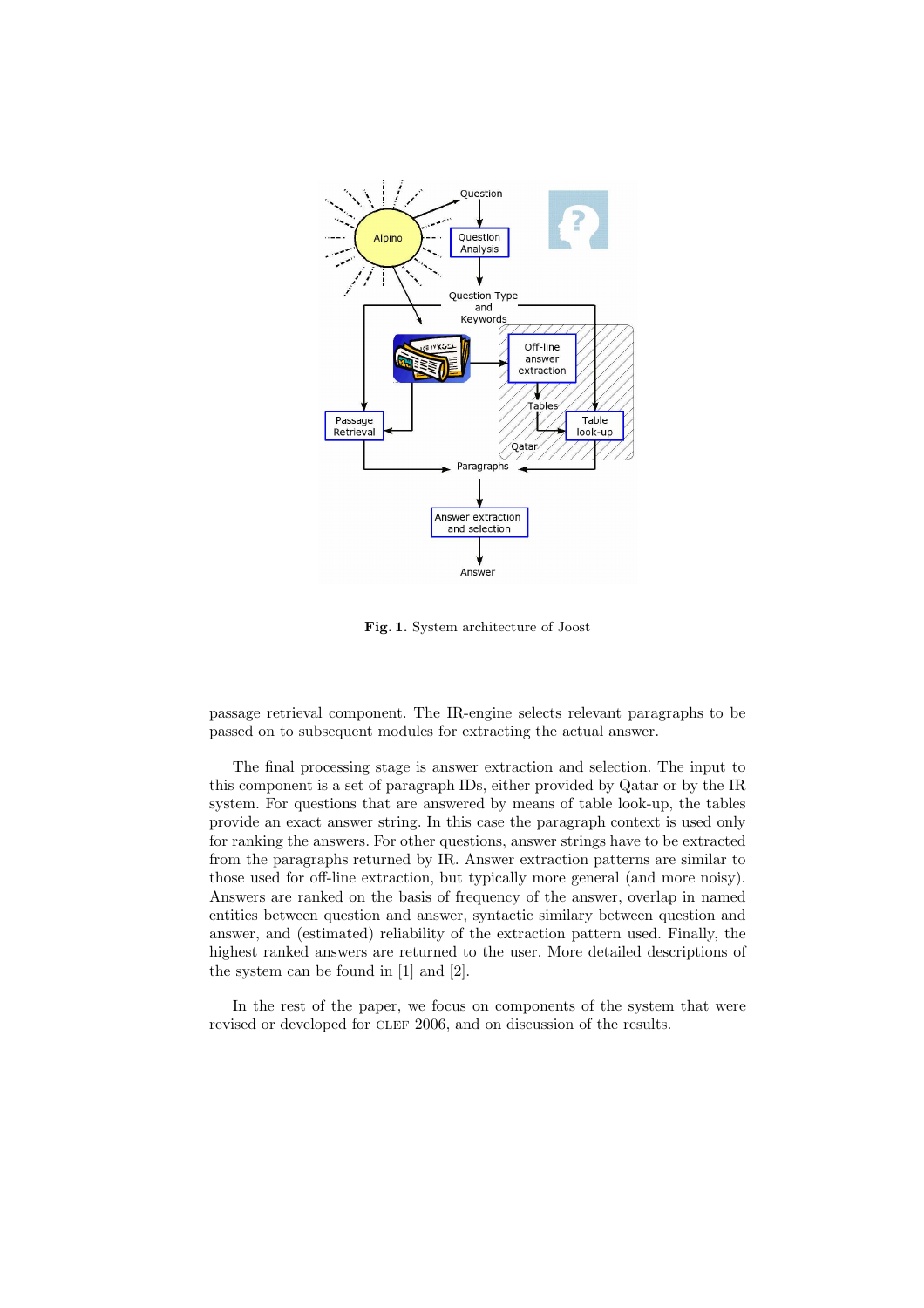

Fig. 1. System architecture of Joost

passage retrieval component. The IR-engine selects relevant paragraphs to be passed on to subsequent modules for extracting the actual answer.

The final processing stage is answer extraction and selection. The input to this component is a set of paragraph IDs, either provided by Qatar or by the IR system. For questions that are answered by means of table look-up, the tables provide an exact answer string. In this case the paragraph context is used only for ranking the answers. For other questions, answer strings have to be extracted from the paragraphs returned by IR. Answer extraction patterns are similar to those used for off-line extraction, but typically more general (and more noisy). Answers are ranked on the basis of frequency of the answer, overlap in named entities between question and answer, syntactic similary between question and answer, and (estimated) reliability of the extraction pattern used. Finally, the highest ranked answers are returned to the user. More detailed descriptions of the system can be found in [1] and [2].

In the rest of the paper, we focus on components of the system that were revised or developed for CLEF 2006, and on discussion of the results.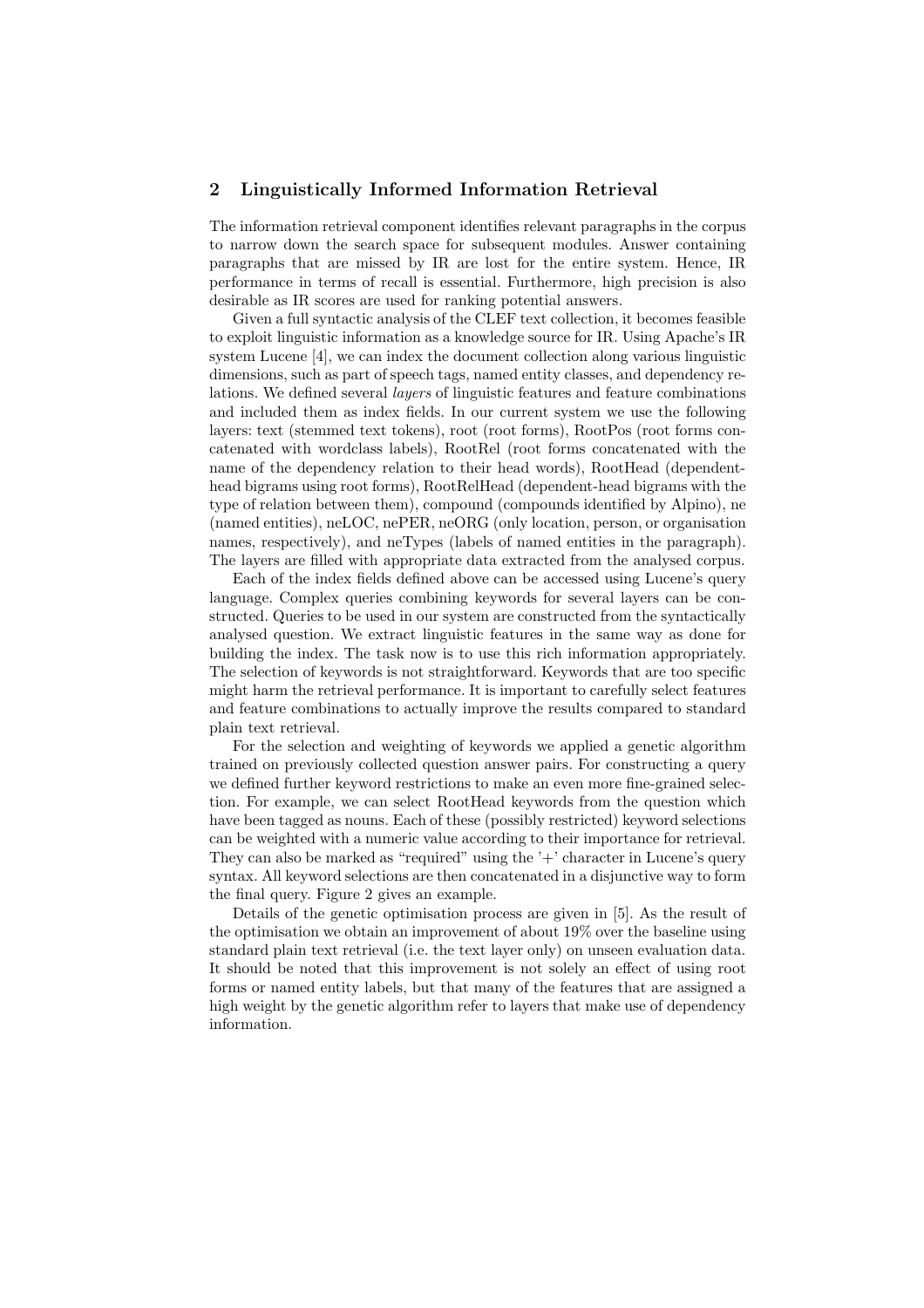#### 2 Linguistically Informed Information Retrieval

The information retrieval component identifies relevant paragraphs in the corpus to narrow down the search space for subsequent modules. Answer containing paragraphs that are missed by IR are lost for the entire system. Hence, IR performance in terms of recall is essential. Furthermore, high precision is also desirable as IR scores are used for ranking potential answers.

Given a full syntactic analysis of the CLEF text collection, it becomes feasible to exploit linguistic information as a knowledge source for IR. Using Apache's IR system Lucene [4], we can index the document collection along various linguistic dimensions, such as part of speech tags, named entity classes, and dependency relations. We defined several layers of linguistic features and feature combinations and included them as index fields. In our current system we use the following layers: text (stemmed text tokens), root (root forms), RootPos (root forms concatenated with wordclass labels), RootRel (root forms concatenated with the name of the dependency relation to their head words), RootHead (dependenthead bigrams using root forms), RootRelHead (dependent-head bigrams with the type of relation between them), compound (compounds identified by Alpino), ne (named entities), neLOC, nePER, neORG (only location, person, or organisation names, respectively), and neTypes (labels of named entities in the paragraph). The layers are filled with appropriate data extracted from the analysed corpus.

Each of the index fields defined above can be accessed using Lucene's query language. Complex queries combining keywords for several layers can be constructed. Queries to be used in our system are constructed from the syntactically analysed question. We extract linguistic features in the same way as done for building the index. The task now is to use this rich information appropriately. The selection of keywords is not straightforward. Keywords that are too specific might harm the retrieval performance. It is important to carefully select features and feature combinations to actually improve the results compared to standard plain text retrieval.

For the selection and weighting of keywords we applied a genetic algorithm trained on previously collected question answer pairs. For constructing a query we defined further keyword restrictions to make an even more fine-grained selection. For example, we can select RootHead keywords from the question which have been tagged as nouns. Each of these (possibly restricted) keyword selections can be weighted with a numeric value according to their importance for retrieval. They can also be marked as "required" using the '+' character in Lucene's query syntax. All keyword selections are then concatenated in a disjunctive way to form the final query. Figure 2 gives an example.

Details of the genetic optimisation process are given in [5]. As the result of the optimisation we obtain an improvement of about 19% over the baseline using standard plain text retrieval (i.e. the text layer only) on unseen evaluation data. It should be noted that this improvement is not solely an effect of using root forms or named entity labels, but that many of the features that are assigned a high weight by the genetic algorithm refer to layers that make use of dependency information.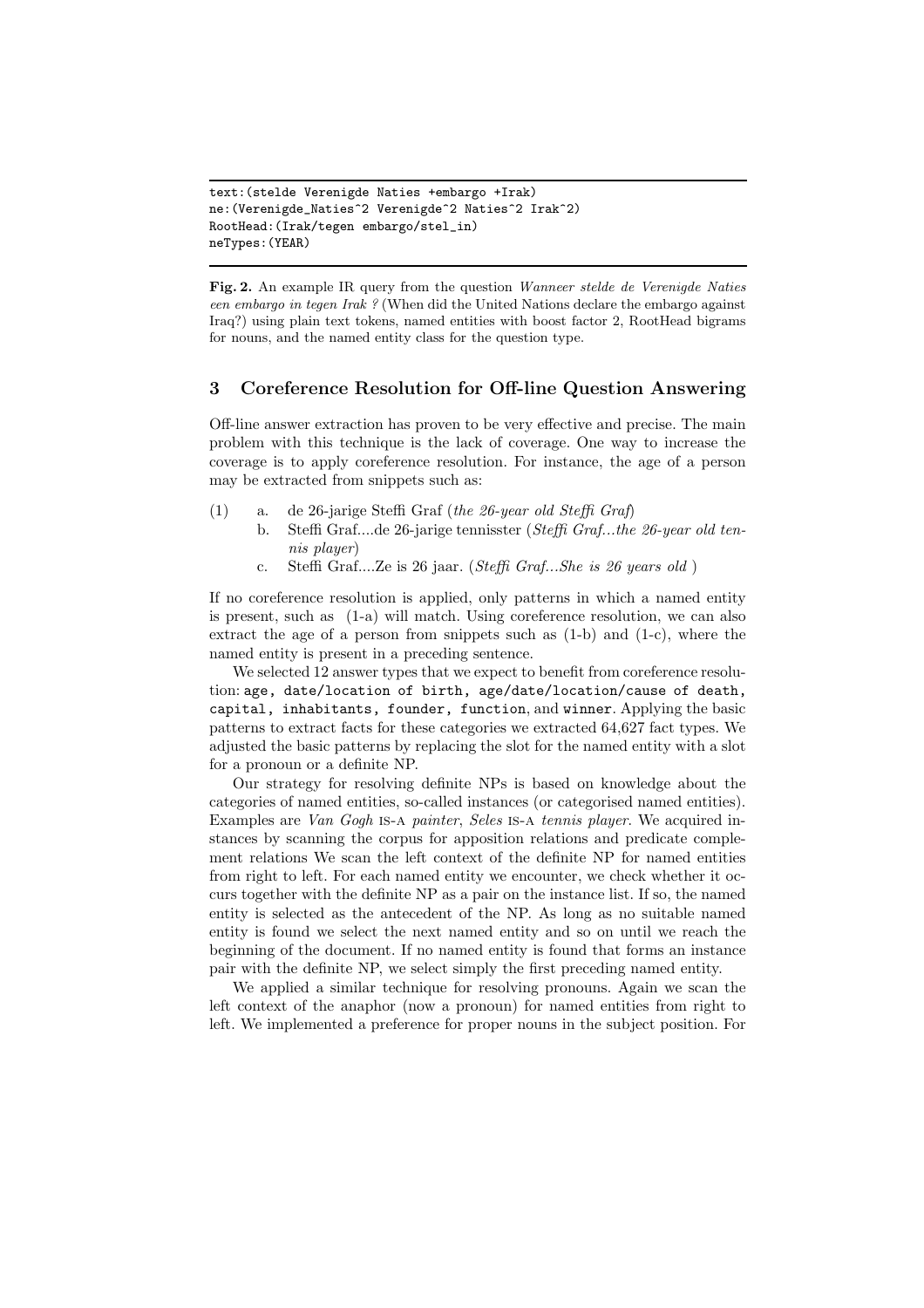```
text:(stelde Verenigde Naties +embargo +Irak)
ne:(Verenigde_Naties^2 Verenigde^2 Naties^2 Irak^2)
RootHead:(Irak/tegen embargo/stel_in)
neTypes:(YEAR)
```
Fig. 2. An example IR query from the question *Wanneer stelde de Verenigde Naties* een embargo in tegen Irak ? (When did the United Nations declare the embargo against Iraq?) using plain text tokens, named entities with boost factor 2, RootHead bigrams for nouns, and the named entity class for the question type.

#### 3 Coreference Resolution for Off-line Question Answering

Off-line answer extraction has proven to be very effective and precise. The main problem with this technique is the lack of coverage. One way to increase the coverage is to apply coreference resolution. For instance, the age of a person may be extracted from snippets such as:

- (1) a. de 26-jarige Steffi Graf (the  $26$ -year old Steffi Graf)
	- b. Steffi Graf....de 26-jarige tennisster (Steffi Graf...the 26-year old tennis player
	- c. Steffi Graf....Ze is 26 jaar. (Steffi Graf...She is 26 years old )

If no coreference resolution is applied, only patterns in which a named entity is present, such as (1-a) will match. Using coreference resolution, we can also extract the age of a person from snippets such as (1-b) and (1-c), where the named entity is present in a preceding sentence.

We selected 12 answer types that we expect to benefit from coreference resolution: age, date/location of birth, age/date/location/cause of death, capital, inhabitants, founder, function, and winner. Applying the basic patterns to extract facts for these categories we extracted 64,627 fact types. We adjusted the basic patterns by replacing the slot for the named entity with a slot for a pronoun or a definite NP.

Our strategy for resolving definite NPs is based on knowledge about the categories of named entities, so-called instances (or categorised named entities). Examples are Van Gogh is-a painter, Seles is-a tennis player. We acquired instances by scanning the corpus for apposition relations and predicate complement relations We scan the left context of the definite NP for named entities from right to left. For each named entity we encounter, we check whether it occurs together with the definite NP as a pair on the instance list. If so, the named entity is selected as the antecedent of the NP. As long as no suitable named entity is found we select the next named entity and so on until we reach the beginning of the document. If no named entity is found that forms an instance pair with the definite NP, we select simply the first preceding named entity.

We applied a similar technique for resolving pronouns. Again we scan the left context of the anaphor (now a pronoun) for named entities from right to left. We implemented a preference for proper nouns in the subject position. For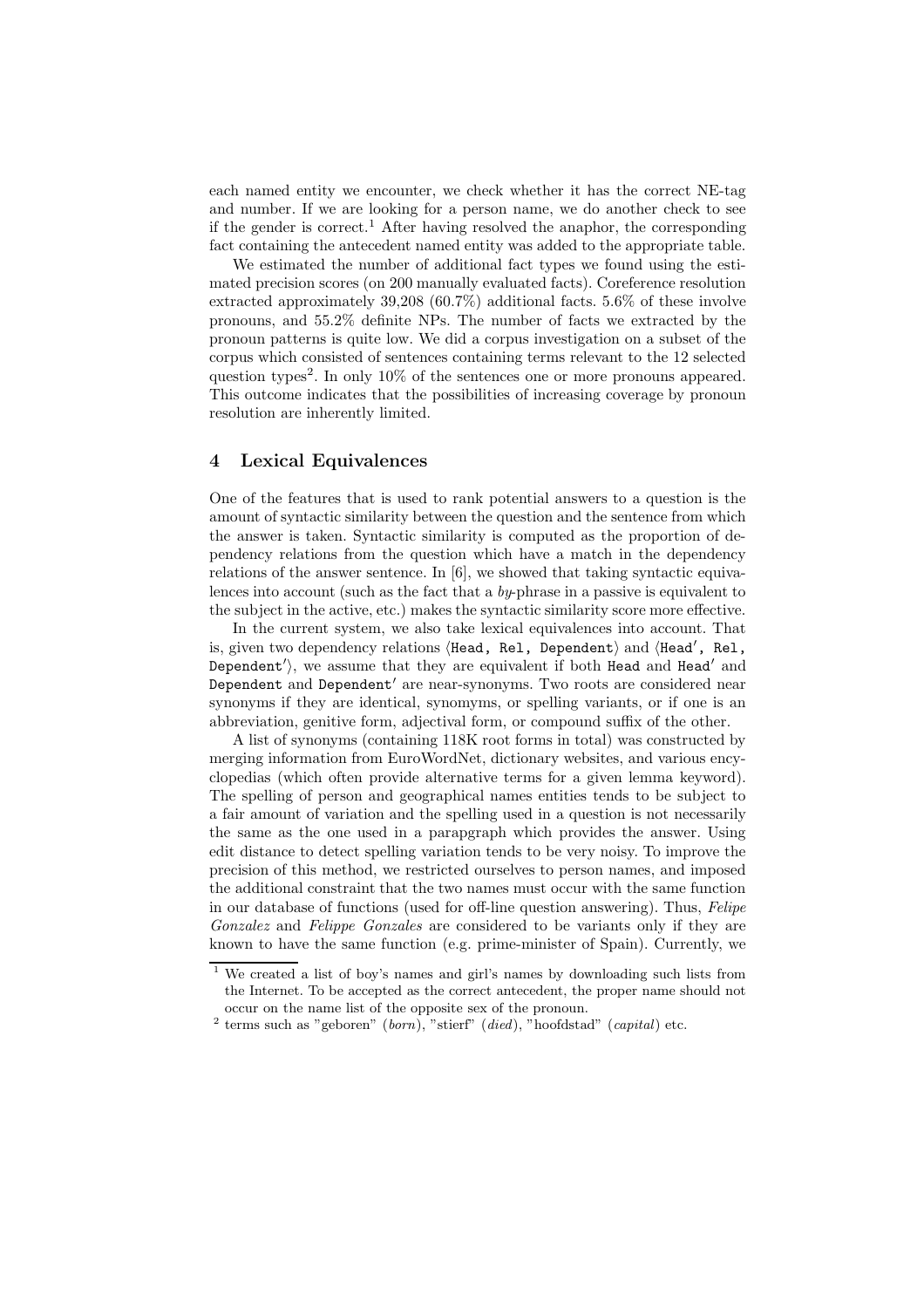each named entity we encounter, we check whether it has the correct NE-tag and number. If we are looking for a person name, we do another check to see if the gender is correct.<sup>1</sup> After having resolved the anaphor, the corresponding fact containing the antecedent named entity was added to the appropriate table.

We estimated the number of additional fact types we found using the estimated precision scores (on 200 manually evaluated facts). Coreference resolution extracted approximately 39,208 (60.7%) additional facts. 5.6% of these involve pronouns, and 55.2% definite NPs. The number of facts we extracted by the pronoun patterns is quite low. We did a corpus investigation on a subset of the corpus which consisted of sentences containing terms relevant to the 12 selected question types<sup>2</sup> . In only 10% of the sentences one or more pronouns appeared. This outcome indicates that the possibilities of increasing coverage by pronoun resolution are inherently limited.

#### 4 Lexical Equivalences

One of the features that is used to rank potential answers to a question is the amount of syntactic similarity between the question and the sentence from which the answer is taken. Syntactic similarity is computed as the proportion of dependency relations from the question which have a match in the dependency relations of the answer sentence. In [6], we showed that taking syntactic equivalences into account (such as the fact that a  $by$ -phrase in a passive is equivalent to the subject in the active, etc.) makes the syntactic similarity score more effective.

In the current system, we also take lexical equivalences into account. That is, given two dependency relations  $\langle$  Head, Rel, Dependent $\rangle$  and  $\langle$  Head', Rel, Dependent'), we assume that they are equivalent if both Head and Head' and Dependent and Dependent' are near-synonyms. Two roots are considered near synonyms if they are identical, synomyms, or spelling variants, or if one is an abbreviation, genitive form, adjectival form, or compound suffix of the other.

A list of synonyms (containing 118K root forms in total) was constructed by merging information from EuroWordNet, dictionary websites, and various encyclopedias (which often provide alternative terms for a given lemma keyword). The spelling of person and geographical names entities tends to be subject to a fair amount of variation and the spelling used in a question is not necessarily the same as the one used in a parapgraph which provides the answer. Using edit distance to detect spelling variation tends to be very noisy. To improve the precision of this method, we restricted ourselves to person names, and imposed the additional constraint that the two names must occur with the same function in our database of functions (used for off-line question answering). Thus, Felipe Gonzalez and Felippe Gonzales are considered to be variants only if they are known to have the same function (e.g. prime-minister of Spain). Currently, we

<sup>1</sup> We created a list of boy's names and girl's names by downloading such lists from the Internet. To be accepted as the correct antecedent, the proper name should not occur on the name list of the opposite sex of the pronoun.

<sup>&</sup>lt;sup>2</sup> terms such as "geboren" (born), "stierf" (died), "hoofdstad" (capital) etc.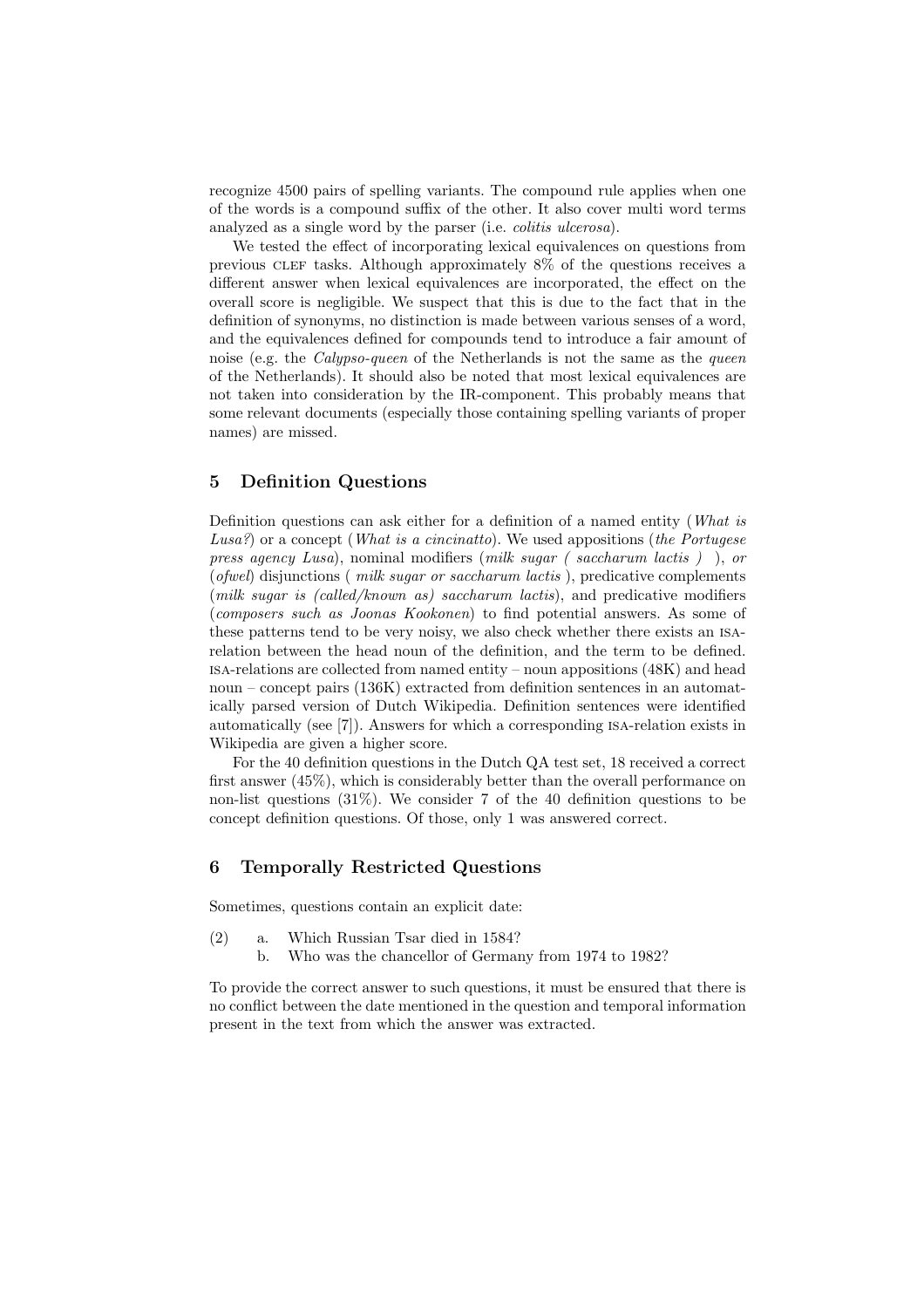recognize 4500 pairs of spelling variants. The compound rule applies when one of the words is a compound suffix of the other. It also cover multi word terms analyzed as a single word by the parser (i.e. *colitis ulcerosa*).

We tested the effect of incorporating lexical equivalences on questions from previous clef tasks. Although approximately 8% of the questions receives a different answer when lexical equivalences are incorporated, the effect on the overall score is negligible. We suspect that this is due to the fact that in the definition of synonyms, no distinction is made between various senses of a word, and the equivalences defined for compounds tend to introduce a fair amount of noise (e.g. the *Calypso-queen* of the Netherlands is not the same as the *queen* of the Netherlands). It should also be noted that most lexical equivalences are not taken into consideration by the IR-component. This probably means that some relevant documents (especially those containing spelling variants of proper names) are missed.

### 5 Definition Questions

Definition questions can ask either for a definition of a named entity (What is Lusa?) or a concept (What is a cincinatto). We used appositions (the Portugese press agency Lusa), nominal modifiers (milk sugar ( saccharum lactis ) ), or (ofwel) disjunctions ( milk sugar or saccharum lactis ), predicative complements (milk sugar is (called/known as) saccharum lactis), and predicative modifiers (composers such as Joonas Kookonen) to find potential answers. As some of these patterns tend to be very noisy, we also check whether there exists an isarelation between the head noun of the definition, and the term to be defined.  $IsA-relations$  are collected from named entity – noun appositions  $(48K)$  and head noun – concept pairs (136K) extracted from definition sentences in an automatically parsed version of Dutch Wikipedia. Definition sentences were identified automatically (see [7]). Answers for which a corresponding isa-relation exists in Wikipedia are given a higher score.

For the 40 definition questions in the Dutch QA test set, 18 received a correct first answer (45%), which is considerably better than the overall performance on non-list questions (31%). We consider 7 of the 40 definition questions to be concept definition questions. Of those, only 1 was answered correct.

## 6 Temporally Restricted Questions

Sometimes, questions contain an explicit date:

- (2) a. Which Russian Tsar died in 1584?
	- b. Who was the chancellor of Germany from 1974 to 1982?

To provide the correct answer to such questions, it must be ensured that there is no conflict between the date mentioned in the question and temporal information present in the text from which the answer was extracted.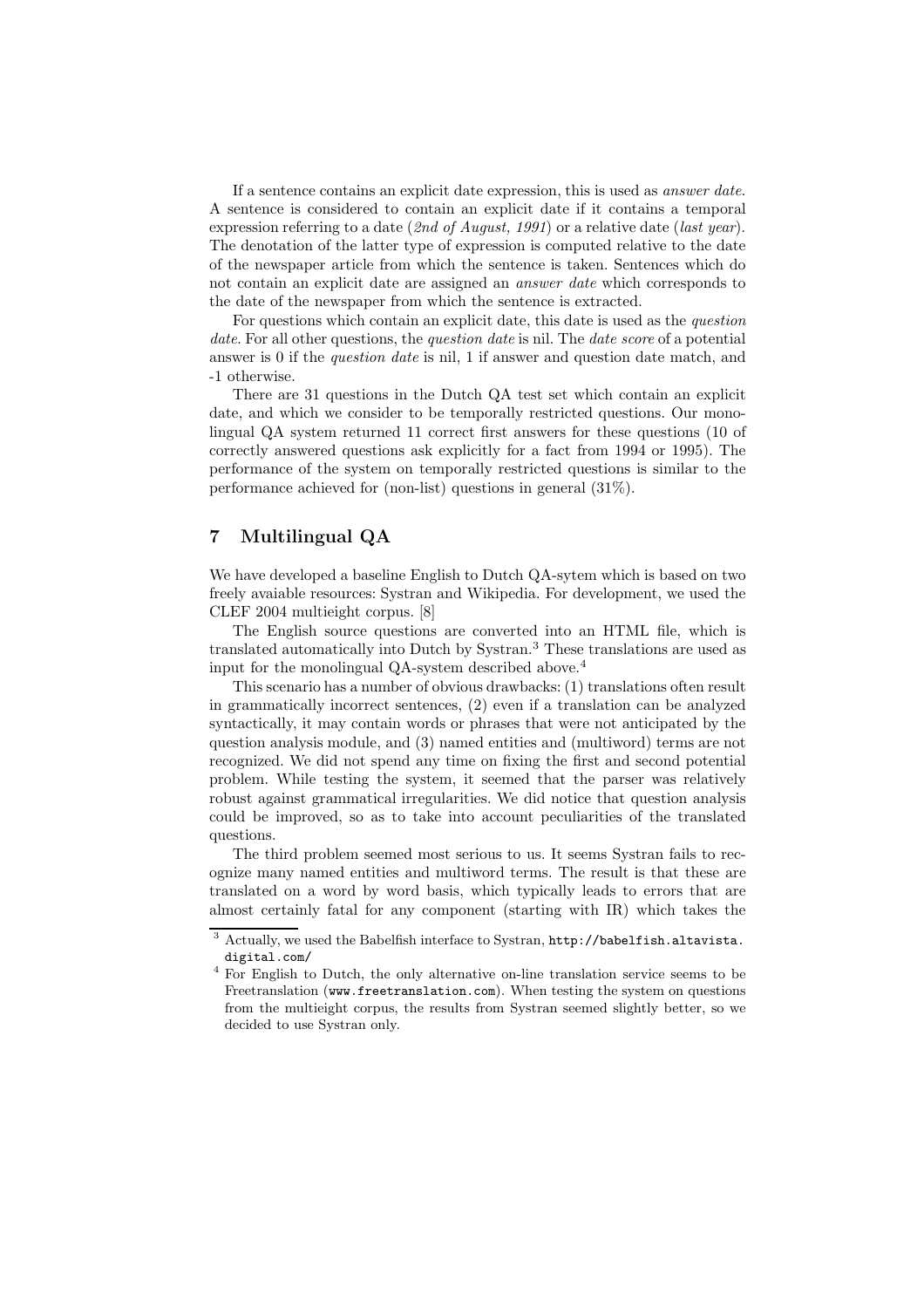If a sentence contains an explicit date expression, this is used as answer date. A sentence is considered to contain an explicit date if it contains a temporal expression referring to a date  $(2nd of August, 1991)$  or a relative date  $(last year)$ . The denotation of the latter type of expression is computed relative to the date of the newspaper article from which the sentence is taken. Sentences which do not contain an explicit date are assigned an answer date which corresponds to the date of the newspaper from which the sentence is extracted.

For questions which contain an explicit date, this date is used as the question date. For all other questions, the *question date* is nil. The *date score* of a potential answer is 0 if the question date is nil, 1 if answer and question date match, and -1 otherwise.

There are 31 questions in the Dutch QA test set which contain an explicit date, and which we consider to be temporally restricted questions. Our monolingual QA system returned 11 correct first answers for these questions (10 of correctly answered questions ask explicitly for a fact from 1994 or 1995). The performance of the system on temporally restricted questions is similar to the performance achieved for (non-list) questions in general (31%).

## 7 Multilingual QA

We have developed a baseline English to Dutch QA-sytem which is based on two freely avaiable resources: Systran and Wikipedia. For development, we used the CLEF 2004 multieight corpus. [8]

The English source questions are converted into an HTML file, which is translated automatically into Dutch by Systran.<sup>3</sup> These translations are used as input for the monolingual QA-system described above.<sup>4</sup>

This scenario has a number of obvious drawbacks: (1) translations often result in grammatically incorrect sentences, (2) even if a translation can be analyzed syntactically, it may contain words or phrases that were not anticipated by the question analysis module, and (3) named entities and (multiword) terms are not recognized. We did not spend any time on fixing the first and second potential problem. While testing the system, it seemed that the parser was relatively robust against grammatical irregularities. We did notice that question analysis could be improved, so as to take into account peculiarities of the translated questions.

The third problem seemed most serious to us. It seems Systran fails to recognize many named entities and multiword terms. The result is that these are translated on a word by word basis, which typically leads to errors that are almost certainly fatal for any component (starting with IR) which takes the

<sup>3</sup> Actually, we used the Babelfish interface to Systran, http://babelfish.altavista. digital.com/

<sup>4</sup> For English to Dutch, the only alternative on-line translation service seems to be Freetranslation (www.freetranslation.com). When testing the system on questions from the multieight corpus, the results from Systran seemed slightly better, so we decided to use Systran only.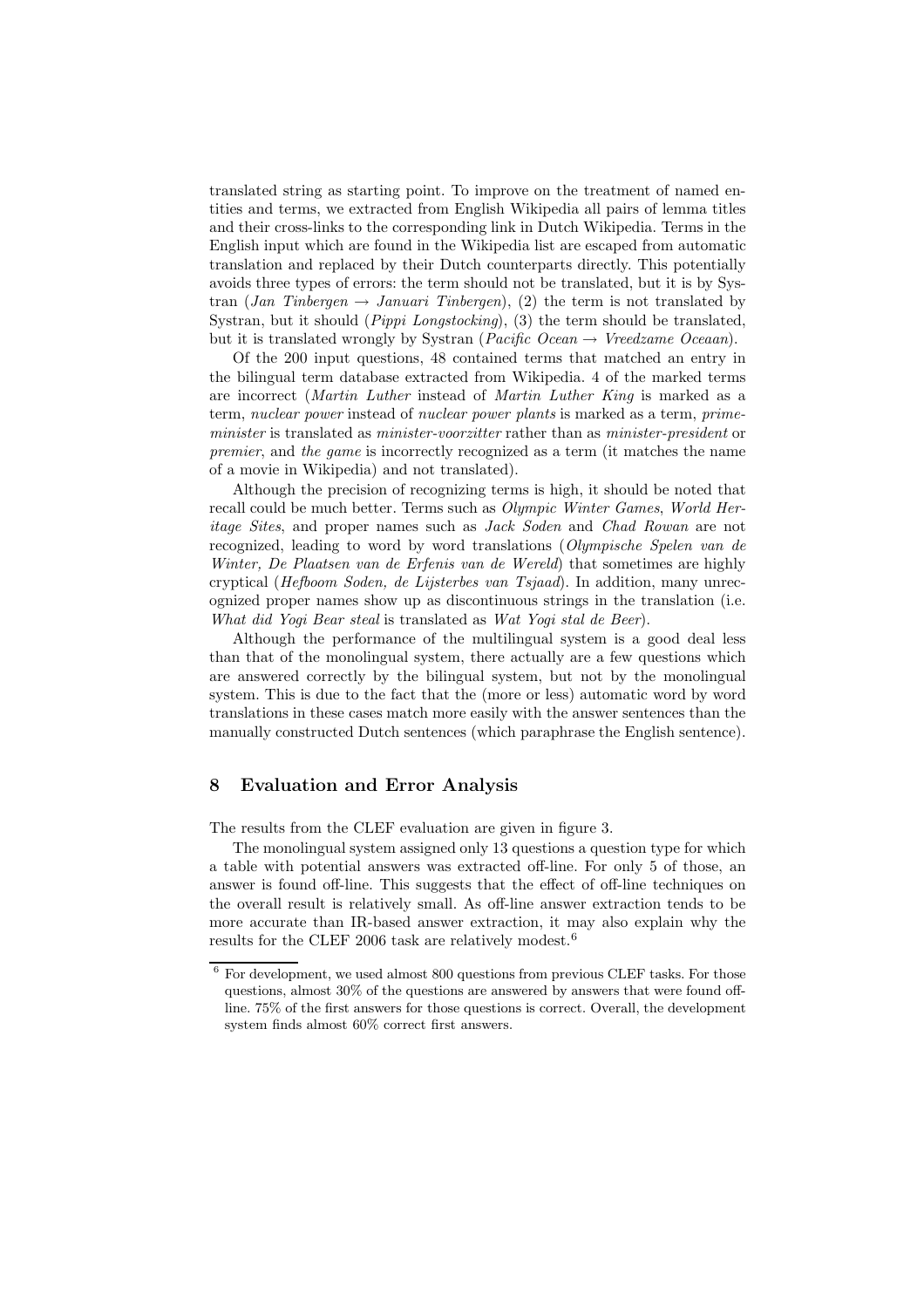translated string as starting point. To improve on the treatment of named entities and terms, we extracted from English Wikipedia all pairs of lemma titles and their cross-links to the corresponding link in Dutch Wikipedia. Terms in the English input which are found in the Wikipedia list are escaped from automatic translation and replaced by their Dutch counterparts directly. This potentially avoids three types of errors: the term should not be translated, but it is by Systran (*Jan Tinbergen*  $\rightarrow$  *Januari Tinbergen*), (2) the term is not translated by Systran, but it should (*Pippi Longstocking*), (3) the term should be translated, but it is translated wrongly by Systran (*Pacific Ocean*  $\rightarrow$  *Vreedzame Oceaan*).

Of the 200 input questions, 48 contained terms that matched an entry in the bilingual term database extracted from Wikipedia. 4 of the marked terms are incorrect (*Martin Luther* instead of *Martin Luther King* is marked as a term, nuclear power instead of nuclear power plants is marked as a term, primeminister is translated as minister-voorzitter rather than as minister-president or premier, and the game is incorrectly recognized as a term (it matches the name of a movie in Wikipedia) and not translated).

Although the precision of recognizing terms is high, it should be noted that recall could be much better. Terms such as *Olympic Winter Games, World Her*itage Sites, and proper names such as Jack Soden and Chad Rowan are not recognized, leading to word by word translations (Olympische Spelen van de Winter, De Plaatsen van de Erfenis van de Wereld) that sometimes are highly cryptical (Hefboom Soden, de Lijsterbes van Tsjaad). In addition, many unrecognized proper names show up as discontinuous strings in the translation (i.e. What did Yogi Bear steal is translated as Wat Yogi stal de Beer).

Although the performance of the multilingual system is a good deal less than that of the monolingual system, there actually are a few questions which are answered correctly by the bilingual system, but not by the monolingual system. This is due to the fact that the (more or less) automatic word by word translations in these cases match more easily with the answer sentences than the manually constructed Dutch sentences (which paraphrase the English sentence).

## 8 Evaluation and Error Analysis

The results from the CLEF evaluation are given in figure 3.

The monolingual system assigned only 13 questions a question type for which a table with potential answers was extracted off-line. For only 5 of those, an answer is found off-line. This suggests that the effect of off-line techniques on the overall result is relatively small. As off-line answer extraction tends to be more accurate than IR-based answer extraction, it may also explain why the results for the CLEF 2006 task are relatively modest.<sup>6</sup>

 $6$  For development, we used almost 800 questions from previous CLEF tasks. For those questions, almost 30% of the questions are answered by answers that were found offline. 75% of the first answers for those questions is correct. Overall, the development system finds almost 60% correct first answers.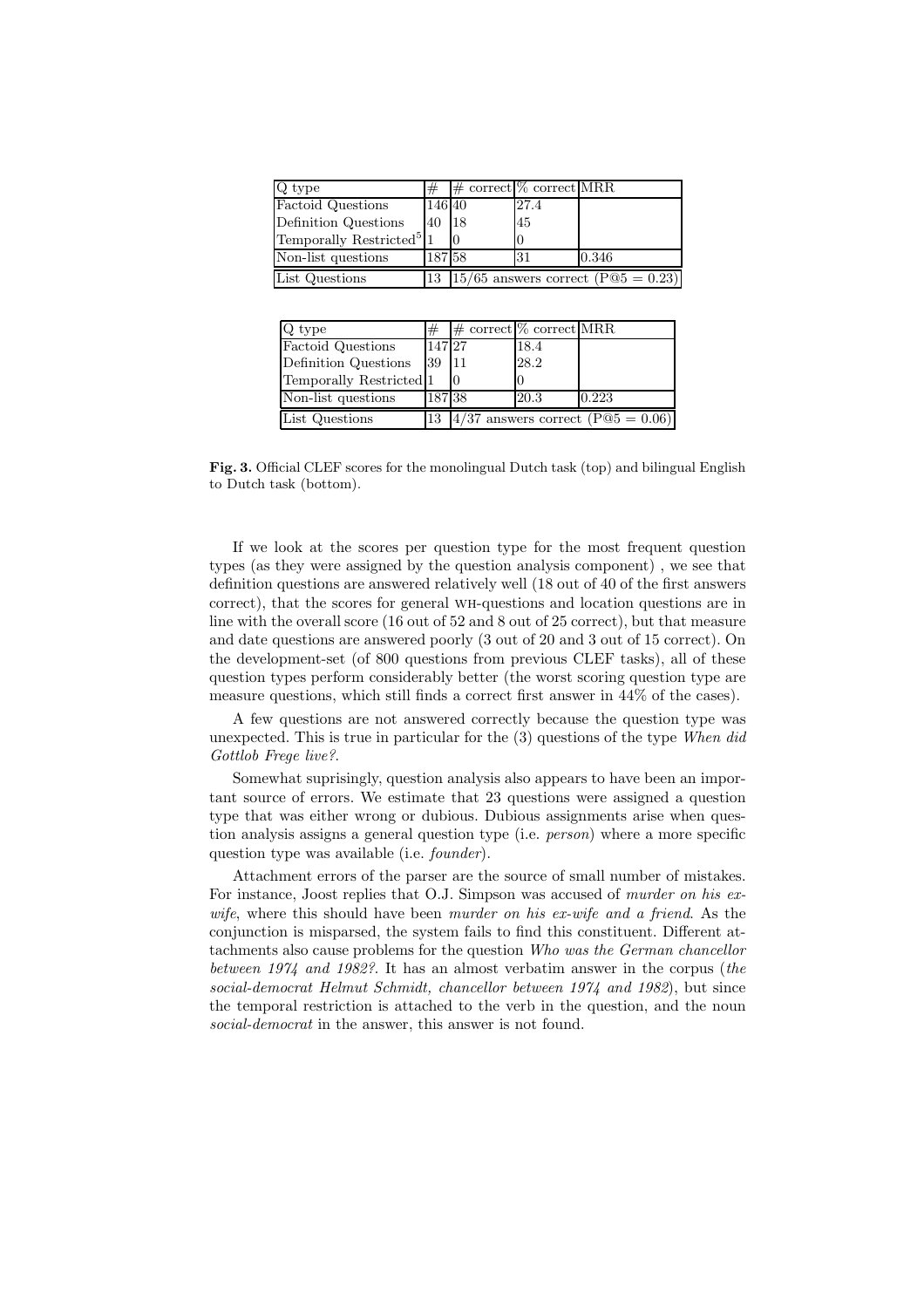| Q type                                          | #      |                                      | $\#$ correct $\%$ correct MRR |       |
|-------------------------------------------------|--------|--------------------------------------|-------------------------------|-------|
| Factoid Questions                               | 146 40 |                                      | 27.4                          |       |
| Definition Questions                            | 40     | 18                                   | 45                            |       |
| Temporally Restricted <sup>5</sup> <sup>1</sup> |        |                                      |                               |       |
| Non-list questions                              | 187 58 |                                      | 31                            | 0.346 |
| List Questions                                  | 13     | $15/65$ answers correct (P@5 = 0.23) |                               |       |

| Q type                  | #      |    | $\#$ correct $\%$ correct MRR |                                                   |
|-------------------------|--------|----|-------------------------------|---------------------------------------------------|
| Factoid Questions       | 147 27 |    | 18.4                          |                                                   |
| Definition Questions    | 39     | 11 | 28.2                          |                                                   |
| Temporally Restricted 1 |        |    |                               |                                                   |
| Non-list questions      | 187 38 |    | 20.3                          | 0.223                                             |
| List Questions          | 13     |    |                               | $4/37$ answers correct (P $\mathcal{Q}5 = 0.06$ ) |

Fig. 3. Official CLEF scores for the monolingual Dutch task (top) and bilingual English to Dutch task (bottom).

If we look at the scores per question type for the most frequent question types (as they were assigned by the question analysis component) , we see that definition questions are answered relatively well (18 out of 40 of the first answers correct), that the scores for general wh-questions and location questions are in line with the overall score (16 out of 52 and 8 out of 25 correct), but that measure and date questions are answered poorly (3 out of 20 and 3 out of 15 correct). On the development-set (of 800 questions from previous CLEF tasks), all of these question types perform considerably better (the worst scoring question type are measure questions, which still finds a correct first answer in 44% of the cases).

A few questions are not answered correctly because the question type was unexpected. This is true in particular for the  $(3)$  questions of the type When did Gottlob Frege live?.

Somewhat suprisingly, question analysis also appears to have been an important source of errors. We estimate that 23 questions were assigned a question type that was either wrong or dubious. Dubious assignments arise when question analysis assigns a general question type (i.e. person) where a more specific question type was available (i.e. founder).

Attachment errors of the parser are the source of small number of mistakes. For instance, Joost replies that O.J. Simpson was accused of murder on his exwife, where this should have been murder on his ex-wife and a friend. As the conjunction is misparsed, the system fails to find this constituent. Different attachments also cause problems for the question Who was the German chancellor between 1974 and 1982?. It has an almost verbatim answer in the corpus (the social-democrat Helmut Schmidt, chancellor between 1974 and 1982), but since the temporal restriction is attached to the verb in the question, and the noun social-democrat in the answer, this answer is not found.